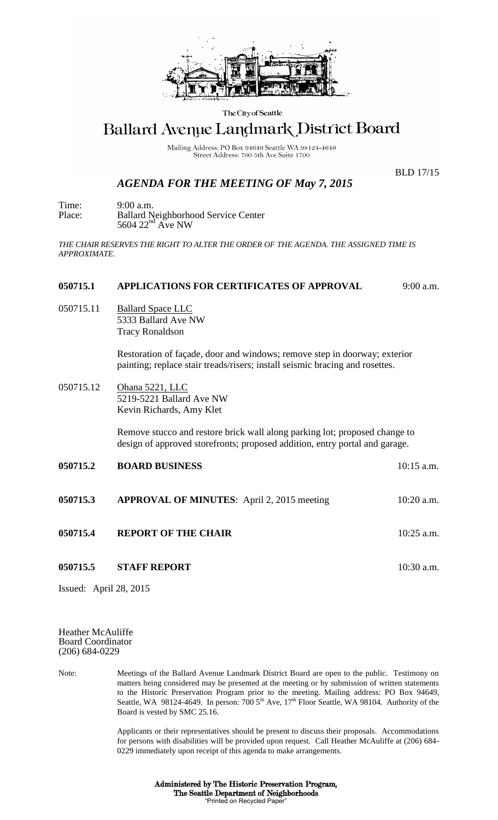

The City of Seattle

## Ballard Avenue Landmark District Board

Mailing Address: PO Box 94649 Seattle WA 98124-4649 Street Address: 700 5th Ave Suite 1700

## *AGENDA FOR THE MEETING OF May 7, 2015*

BLD 17/15

Time: 9:00 a.m. Place: Ballard Neighborhood Service Center  $5604$   $22<sup>nd</sup>$  Ave NW

*THE CHAIR RESERVES THE RIGHT TO ALTER THE ORDER OF THE AGENDA. THE ASSIGNED TIME IS APPROXIMATE.*

## **050715.1 APPLICATIONS FOR CERTIFICATES OF APPROVAL** 9:00 a.m.

050715.11 Ballard Space LLC 5333 Ballard Ave NW Tracy Ronaldson

> Restoration of façade, door and windows; remove step in doorway; exterior painting; replace stair treads/risers; install seismic bracing and rosettes.

050715.12 Ohana 5221, LLC 5219-5221 Ballard Ave NW Kevin Richards, Amy Klet

> Remove stucco and restore brick wall along parking lot; proposed change to design of approved storefronts; proposed addition, entry portal and garage.

| 050715.2 | <b>BOARD BUSINESS</b>                             | $10:15$ a.m. |
|----------|---------------------------------------------------|--------------|
| 050715.3 | <b>APPROVAL OF MINUTES:</b> April 2, 2015 meeting | $10:20$ a.m. |
| 050715.4 | <b>REPORT OF THE CHAIR</b>                        | $10:25$ a.m. |
| 050715.5 | <b>STAFF REPORT</b>                               | $10:30$ a.m. |

Issued: April 28, 2015

Heather McAuliffe Board Coordinator (206) 684-0229

Note: Meetings of the Ballard Avenue Landmark District Board are open to the public. Testimony on matters being considered may be presented at the meeting or by submission of written statements to the Historic Preservation Program prior to the meeting. Mailing address: PO Box 94649, Seattle, WA 98124-4649. In person:  $7005<sup>th</sup>$  Ave,  $17<sup>th</sup>$  Floor Seattle, WA 98104. Authority of the Board is vested by SMC 25.16.

> Applicants or their representatives should be present to discuss their proposals. Accommodations for persons with disabilities will be provided upon request. Call Heather McAuliffe at (206) 684- 0229 immediately upon receipt of this agenda to make arrangements.